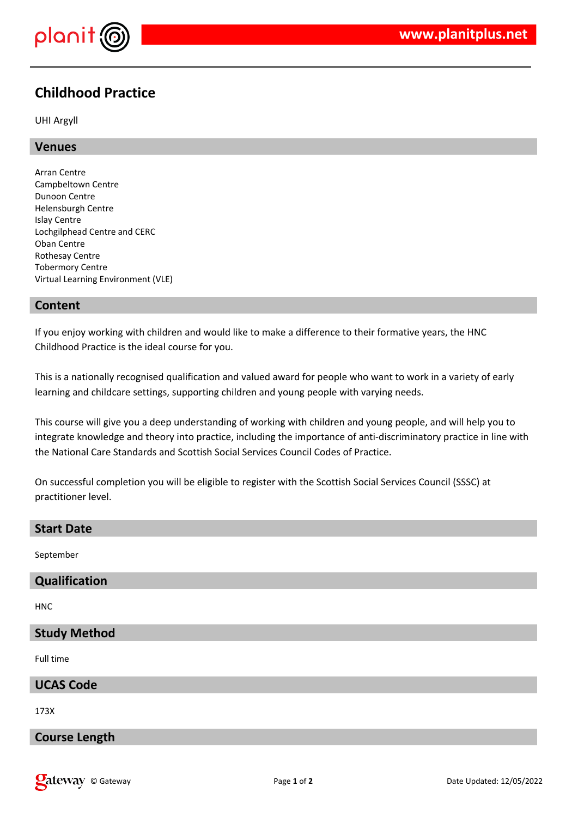

# **Childhood Practice**

UHI Argyll

#### **Venues**

Arran Centre Campbeltown Centre Dunoon Centre Helensburgh Centre Islay Centre Lochgilphead Centre and CERC Oban Centre Rothesay Centre Tobermory Centre Virtual Learning Environment (VLE)

### **Content**

If you enjoy working with children and would like to make a difference to their formative years, the HNC Childhood Practice is the ideal course for you.

This is a nationally recognised qualification and valued award for people who want to work in a variety of early learning and childcare settings, supporting children and young people with varying needs.

This course will give you a deep understanding of working with children and young people, and will help you to integrate knowledge and theory into practice, including the importance of anti-discriminatory practice in line with the National Care Standards and Scottish Social Services Council Codes of Practice.

On successful completion you will be eligible to register with the Scottish Social Services Council (SSSC) at practitioner level.

#### **Start Date**

September

#### **Qualification**

HNC

#### **Study Method**

Full time

#### **UCAS Code**

173X

## **Course Length**